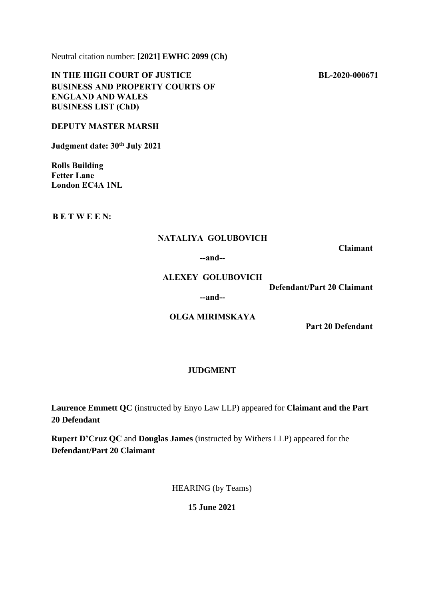Neutral citation number: **[2021] EWHC 2099 (Ch)**

**IN THE HIGH COURT OF JUSTICE BUSINESS AND PROPERTY COURTS OF ENGLAND AND WALES BUSINESS LIST (ChD)**

## **DEPUTY MASTER MARSH**

**Judgment date: 30th July 2021**

**Rolls Building Fetter Lane London EC4A 1NL**

**B E T W E E N:**

### **NATALIYA GOLUBOVICH**

**Claimant**

#### **--and--**

#### **ALEXEY GOLUBOVICH**

**Defendant/Part 20 Claimant**

## **--and--**

# **OLGA MIRIMSKAYA**

**Part 20 Defendant**

## **JUDGMENT**

**Laurence Emmett QC** (instructed by Enyo Law LLP) appeared for **Claimant and the Part 20 Defendant**

**Rupert D'Cruz QC** and **Douglas James** (instructed by Withers LLP) appeared for the **Defendant/Part 20 Claimant**

HEARING (by Teams)

**15 June 2021**

 **BL-2020-000671**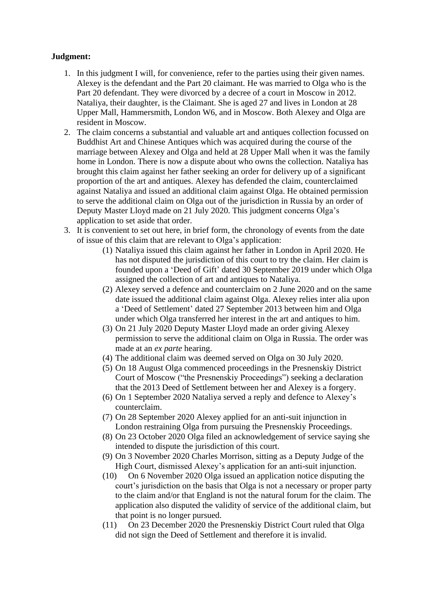# **Judgment:**

- 1. In this judgment I will, for convenience, refer to the parties using their given names. Alexey is the defendant and the Part 20 claimant. He was married to Olga who is the Part 20 defendant. They were divorced by a decree of a court in Moscow in 2012. Nataliya, their daughter, is the Claimant. She is aged 27 and lives in London at 28 Upper Mall, Hammersmith, London W6, and in Moscow. Both Alexey and Olga are resident in Moscow.
- 2. The claim concerns a substantial and valuable art and antiques collection focussed on Buddhist Art and Chinese Antiques which was acquired during the course of the marriage between Alexey and Olga and held at 28 Upper Mall when it was the family home in London. There is now a dispute about who owns the collection. Nataliya has brought this claim against her father seeking an order for delivery up of a significant proportion of the art and antiques. Alexey has defended the claim, counterclaimed against Nataliya and issued an additional claim against Olga. He obtained permission to serve the additional claim on Olga out of the jurisdiction in Russia by an order of Deputy Master Lloyd made on 21 July 2020. This judgment concerns Olga's application to set aside that order.
- 3. It is convenient to set out here, in brief form, the chronology of events from the date of issue of this claim that are relevant to Olga's application:
	- (1) Nataliya issued this claim against her father in London in April 2020. He has not disputed the jurisdiction of this court to try the claim. Her claim is founded upon a 'Deed of Gift' dated 30 September 2019 under which Olga assigned the collection of art and antiques to Nataliya.
	- (2) Alexey served a defence and counterclaim on 2 June 2020 and on the same date issued the additional claim against Olga. Alexey relies inter alia upon a 'Deed of Settlement' dated 27 September 2013 between him and Olga under which Olga transferred her interest in the art and antiques to him.
	- (3) On 21 July 2020 Deputy Master Lloyd made an order giving Alexey permission to serve the additional claim on Olga in Russia. The order was made at an *ex parte* hearing.
	- (4) The additional claim was deemed served on Olga on 30 July 2020.
	- (5) On 18 August Olga commenced proceedings in the Presnenskiy District Court of Moscow ("the Presnenskiy Proceedings") seeking a declaration that the 2013 Deed of Settlement between her and Alexey is a forgery.
	- (6) On 1 September 2020 Nataliya served a reply and defence to Alexey's counterclaim.
	- (7) On 28 September 2020 Alexey applied for an anti-suit injunction in London restraining Olga from pursuing the Presnenskiy Proceedings.
	- (8) On 23 October 2020 Olga filed an acknowledgement of service saying she intended to dispute the jurisdiction of this court.
	- (9) On 3 November 2020 Charles Morrison, sitting as a Deputy Judge of the High Court, dismissed Alexey's application for an anti-suit injunction.
	- (10) On 6 November 2020 Olga issued an application notice disputing the court's jurisdiction on the basis that Olga is not a necessary or proper party to the claim and/or that England is not the natural forum for the claim. The application also disputed the validity of service of the additional claim, but that point is no longer pursued.
	- (11) On 23 December 2020 the Presnenskiy District Court ruled that Olga did not sign the Deed of Settlement and therefore it is invalid.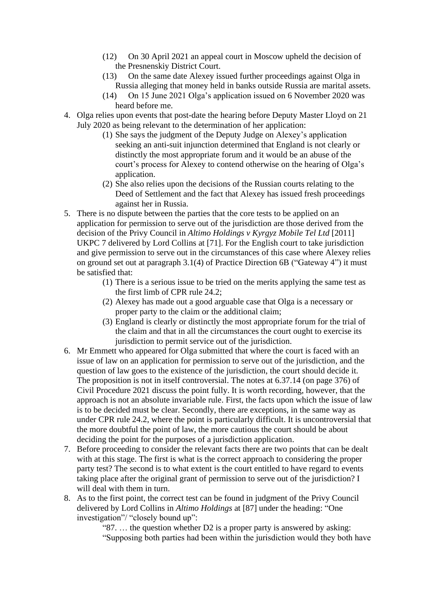- (12) On 30 April 2021 an appeal court in Moscow upheld the decision of the Presnenskiy District Court.
- (13) On the same date Alexey issued further proceedings against Olga in Russia alleging that money held in banks outside Russia are marital assets.
- (14) On 15 June 2021 Olga's application issued on 6 November 2020 was heard before me.
- 4. Olga relies upon events that post-date the hearing before Deputy Master Lloyd on 21 July 2020 as being relevant to the determination of her application:
	- (1) She says the judgment of the Deputy Judge on Alexey's application seeking an anti-suit injunction determined that England is not clearly or distinctly the most appropriate forum and it would be an abuse of the court's process for Alexey to contend otherwise on the hearing of Olga's application.
	- (2) She also relies upon the decisions of the Russian courts relating to the Deed of Settlement and the fact that Alexey has issued fresh proceedings against her in Russia.
- 5. There is no dispute between the parties that the core tests to be applied on an application for permission to serve out of the jurisdiction are those derived from the decision of the Privy Council in *Altimo Holdings v Kyrgyz Mobile Tel Ltd* [2011] UKPC 7 delivered by Lord Collins at [71]. For the English court to take jurisdiction and give permission to serve out in the circumstances of this case where Alexey relies on ground set out at paragraph 3.1(4) of Practice Direction 6B ("Gateway 4") it must be satisfied that:
	- (1) There is a serious issue to be tried on the merits applying the same test as the first limb of CPR rule 24.2;
	- (2) Alexey has made out a good arguable case that Olga is a necessary or proper party to the claim or the additional claim;
	- (3) England is clearly or distinctly the most appropriate forum for the trial of the claim and that in all the circumstances the court ought to exercise its jurisdiction to permit service out of the jurisdiction.
- 6. Mr Emmett who appeared for Olga submitted that where the court is faced with an issue of law on an application for permission to serve out of the jurisdiction, and the question of law goes to the existence of the jurisdiction, the court should decide it. The proposition is not in itself controversial. The notes at 6.37.14 (on page 376) of Civil Procedure 2021 discuss the point fully. It is worth recording, however, that the approach is not an absolute invariable rule. First, the facts upon which the issue of law is to be decided must be clear. Secondly, there are exceptions, in the same way as under CPR rule 24.2, where the point is particularly difficult. It is uncontroversial that the more doubtful the point of law, the more cautious the court should be about deciding the point for the purposes of a jurisdiction application.
- 7. Before proceeding to consider the relevant facts there are two points that can be dealt with at this stage. The first is what is the correct approach to considering the proper party test? The second is to what extent is the court entitled to have regard to events taking place after the original grant of permission to serve out of the jurisdiction? I will deal with them in turn.
- 8. As to the first point, the correct test can be found in judgment of the Privy Council delivered by Lord Collins in *Altimo Holdings* at [87] under the heading: "One investigation"/ "closely bound up":

"87. … the question whether D2 is a proper party is answered by asking: "Supposing both parties had been within the jurisdiction would they both have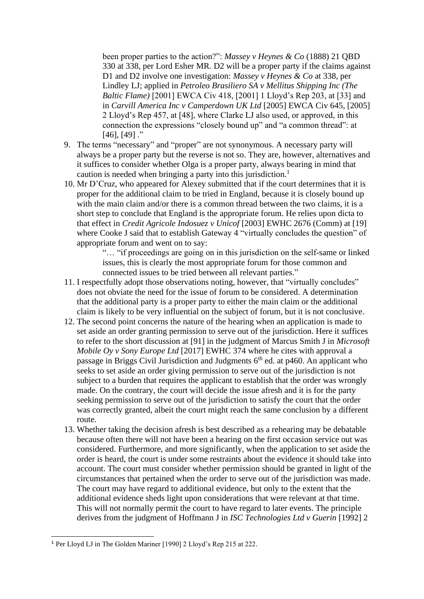been proper parties to the action?": *Massey v Heynes & Co* (1888) 21 QBD 330 at 338, per Lord Esher MR. D2 will be a proper party if the claims against D1 and D2 involve one investigation: *Massey v Heynes & Co* at 338, per Lindley LJ; applied in *Petroleo Brasiliero SA v Mellitus Shipping Inc (The Baltic Flame)* [2001] EWCA Civ 418, [2001] 1 Lloyd's Rep 203, at [33] and in *Carvill America Inc v Camperdown UK Ltd* [2005] EWCA Civ 645, [2005] 2 Lloyd's Rep 457, at [48], where Clarke LJ also used, or approved, in this connection the expressions "closely bound up" and "a common thread": at  $[46]$ ,  $[49]$ ."

- 9. The terms "necessary" and "proper" are not synonymous. A necessary party will always be a proper party but the reverse is not so. They are, however, alternatives and it suffices to consider whether Olga is a proper party, always bearing in mind that caution is needed when bringing a party into this jurisdiction.<sup>1</sup>
- 10. Mr D'Cruz, who appeared for Alexey submitted that if the court determines that it is proper for the additional claim to be tried in England, because it is closely bound up with the main claim and/or there is a common thread between the two claims, it is a short step to conclude that England is the appropriate forum. He relies upon dicta to that effect in *Credit Agricole Indosuez v Unicof* [2003] EWHC 2676 (Comm) at [19] where Cooke J said that to establish Gateway 4 "virtually concludes the question" of appropriate forum and went on to say:

"… "if proceedings are going on in this jurisdiction on the self-same or linked issues, this is clearly the most appropriate forum for those common and connected issues to be tried between all relevant parties."

- 11. I respectfully adopt those observations noting, however, that "virtually concludes" does not obviate the need for the issue of forum to be considered. A determination that the additional party is a proper party to either the main claim or the additional claim is likely to be very influential on the subject of forum, but it is not conclusive.
- 12. The second point concerns the nature of the hearing when an application is made to set aside an order granting permission to serve out of the jurisdiction. Here it suffices to refer to the short discussion at [91] in the judgment of Marcus Smith J in *Microsoft Mobile Oy v Sony Europe Ltd* [2017] EWHC 374 where he cites with approval a passage in Briggs Civil Jurisdiction and Judgments  $6<sup>th</sup>$  ed. at p460. An applicant who seeks to set aside an order giving permission to serve out of the jurisdiction is not subject to a burden that requires the applicant to establish that the order was wrongly made. On the contrary, the court will decide the issue afresh and it is for the party seeking permission to serve out of the jurisdiction to satisfy the court that the order was correctly granted, albeit the court might reach the same conclusion by a different route.
- 13. Whether taking the decision afresh is best described as a rehearing may be debatable because often there will not have been a hearing on the first occasion service out was considered. Furthermore, and more significantly, when the application to set aside the order is heard, the court is under some restraints about the evidence it should take into account. The court must consider whether permission should be granted in light of the circumstances that pertained when the order to serve out of the jurisdiction was made. The court may have regard to additional evidence, but only to the extent that the additional evidence sheds light upon considerations that were relevant at that time. This will not normally permit the court to have regard to later events. The principle derives from the judgment of Hoffmann J in *ISC Technologies Ltd v Guerin* [1992] 2

<sup>1</sup> Per Lloyd LJ in The Golden Mariner [1990] 2 Lloyd's Rep 215 at 222.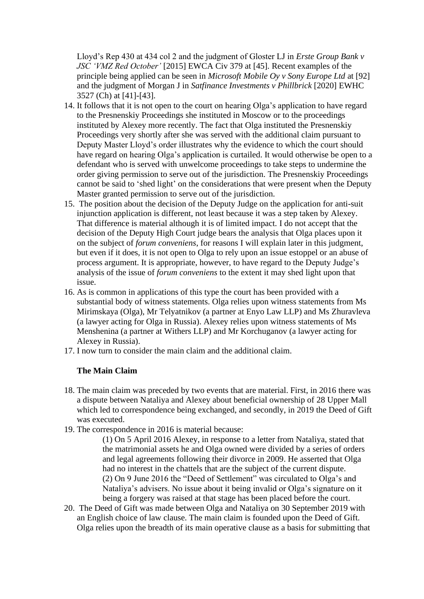Lloyd's Rep 430 at 434 col 2 and the judgment of Gloster LJ in *Erste Group Bank v JSC 'VMZ Red October'* [2015] EWCA Civ 379 at [45]. Recent examples of the principle being applied can be seen in *Microsoft Mobile Oy v Sony Europe Ltd* at [92] and the judgment of Morgan J in *Satfinance Investments v Phillbrick* [2020] EWHC 3527 (Ch) at [41]-[43].

- 14. It follows that it is not open to the court on hearing Olga's application to have regard to the Presnenskiy Proceedings she instituted in Moscow or to the proceedings instituted by Alexey more recently. The fact that Olga instituted the Presnenskiy Proceedings very shortly after she was served with the additional claim pursuant to Deputy Master Lloyd's order illustrates why the evidence to which the court should have regard on hearing Olga's application is curtailed. It would otherwise be open to a defendant who is served with unwelcome proceedings to take steps to undermine the order giving permission to serve out of the jurisdiction. The Presnenskiy Proceedings cannot be said to 'shed light' on the considerations that were present when the Deputy Master granted permission to serve out of the jurisdiction.
- 15. The position about the decision of the Deputy Judge on the application for anti-suit injunction application is different, not least because it was a step taken by Alexey. That difference is material although it is of limited impact. I do not accept that the decision of the Deputy High Court judge bears the analysis that Olga places upon it on the subject of *forum conveniens*, for reasons I will explain later in this judgment, but even if it does, it is not open to Olga to rely upon an issue estoppel or an abuse of process argument. It is appropriate, however, to have regard to the Deputy Judge's analysis of the issue of *forum conveniens* to the extent it may shed light upon that issue.
- 16. As is common in applications of this type the court has been provided with a substantial body of witness statements. Olga relies upon witness statements from Ms Mirimskaya (Olga), Mr Telyatnikov (a partner at Enyo Law LLP) and Ms Zhuravleva (a lawyer acting for Olga in Russia). Alexey relies upon witness statements of Ms Menshenina (a partner at Withers LLP) and Mr Korchuganov (a lawyer acting for Alexey in Russia).
- 17. I now turn to consider the main claim and the additional claim.

# **The Main Claim**

- 18. The main claim was preceded by two events that are material. First, in 2016 there was a dispute between Nataliya and Alexey about beneficial ownership of 28 Upper Mall which led to correspondence being exchanged, and secondly, in 2019 the Deed of Gift was executed.
- 19. The correspondence in 2016 is material because:

(1) On 5 April 2016 Alexey, in response to a letter from Nataliya, stated that the matrimonial assets he and Olga owned were divided by a series of orders and legal agreements following their divorce in 2009. He asserted that Olga had no interest in the chattels that are the subject of the current dispute. (2) On 9 June 2016 the "Deed of Settlement" was circulated to Olga's and Nataliya's advisers. No issue about it being invalid or Olga's signature on it being a forgery was raised at that stage has been placed before the court.

20. The Deed of Gift was made between Olga and Nataliya on 30 September 2019 with an English choice of law clause. The main claim is founded upon the Deed of Gift. Olga relies upon the breadth of its main operative clause as a basis for submitting that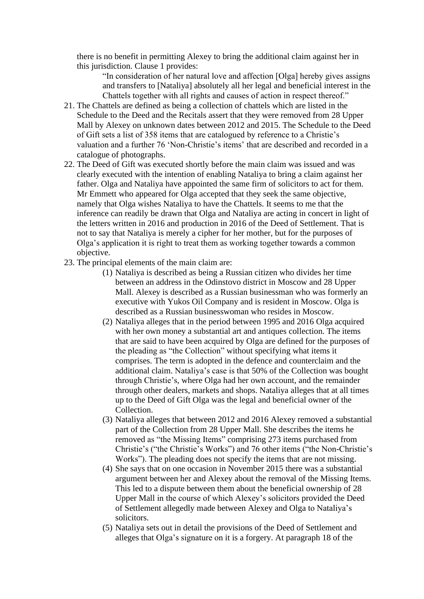there is no benefit in permitting Alexey to bring the additional claim against her in this jurisdiction. Clause 1 provides:

"In consideration of her natural love and affection [Olga] hereby gives assigns and transfers to [Nataliya] absolutely all her legal and beneficial interest in the Chattels together with all rights and causes of action in respect thereof."

- 21. The Chattels are defined as being a collection of chattels which are listed in the Schedule to the Deed and the Recitals assert that they were removed from 28 Upper Mall by Alexey on unknown dates between 2012 and 2015. The Schedule to the Deed of Gift sets a list of 358 items that are catalogued by reference to a Christie's valuation and a further 76 'Non-Christie's items' that are described and recorded in a catalogue of photographs.
- 22. The Deed of Gift was executed shortly before the main claim was issued and was clearly executed with the intention of enabling Nataliya to bring a claim against her father. Olga and Nataliya have appointed the same firm of solicitors to act for them. Mr Emmett who appeared for Olga accepted that they seek the same objective, namely that Olga wishes Nataliya to have the Chattels. It seems to me that the inference can readily be drawn that Olga and Nataliya are acting in concert in light of the letters written in 2016 and production in 2016 of the Deed of Settlement. That is not to say that Nataliya is merely a cipher for her mother, but for the purposes of Olga's application it is right to treat them as working together towards a common objective.
- 23. The principal elements of the main claim are:
	- (1) Nataliya is described as being a Russian citizen who divides her time between an address in the Odinstovo district in Moscow and 28 Upper Mall. Alexey is described as a Russian businessman who was formerly an executive with Yukos Oil Company and is resident in Moscow. Olga is described as a Russian businesswoman who resides in Moscow.
	- (2) Nataliya alleges that in the period between 1995 and 2016 Olga acquired with her own money a substantial art and antiques collection. The items that are said to have been acquired by Olga are defined for the purposes of the pleading as "the Collection" without specifying what items it comprises. The term is adopted in the defence and counterclaim and the additional claim. Nataliya's case is that 50% of the Collection was bought through Christie's, where Olga had her own account, and the remainder through other dealers, markets and shops. Nataliya alleges that at all times up to the Deed of Gift Olga was the legal and beneficial owner of the Collection.
	- (3) Nataliya alleges that between 2012 and 2016 Alexey removed a substantial part of the Collection from 28 Upper Mall. She describes the items he removed as "the Missing Items" comprising 273 items purchased from Christie's ("the Christie's Works") and 76 other items ("the Non-Christie's Works"). The pleading does not specify the items that are not missing.
	- (4) She says that on one occasion in November 2015 there was a substantial argument between her and Alexey about the removal of the Missing Items. This led to a dispute between them about the beneficial ownership of 28 Upper Mall in the course of which Alexey's solicitors provided the Deed of Settlement allegedly made between Alexey and Olga to Nataliya's solicitors.
	- (5) Nataliya sets out in detail the provisions of the Deed of Settlement and alleges that Olga's signature on it is a forgery. At paragraph 18 of the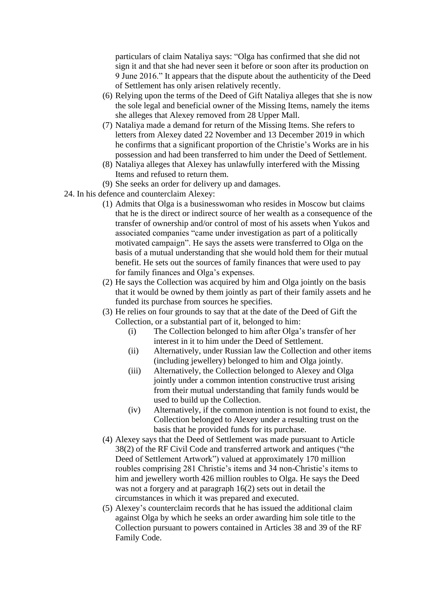particulars of claim Nataliya says: "Olga has confirmed that she did not sign it and that she had never seen it before or soon after its production on 9 June 2016." It appears that the dispute about the authenticity of the Deed of Settlement has only arisen relatively recently.

- (6) Relying upon the terms of the Deed of Gift Nataliya alleges that she is now the sole legal and beneficial owner of the Missing Items, namely the items she alleges that Alexey removed from 28 Upper Mall.
- (7) Nataliya made a demand for return of the Missing Items. She refers to letters from Alexey dated 22 November and 13 December 2019 in which he confirms that a significant proportion of the Christie's Works are in his possession and had been transferred to him under the Deed of Settlement.
- (8) Nataliya alleges that Alexey has unlawfully interfered with the Missing Items and refused to return them.
- (9) She seeks an order for delivery up and damages.
- 24. In his defence and counterclaim Alexey:
	- (1) Admits that Olga is a businesswoman who resides in Moscow but claims that he is the direct or indirect source of her wealth as a consequence of the transfer of ownership and/or control of most of his assets when Yukos and associated companies "came under investigation as part of a politically motivated campaign". He says the assets were transferred to Olga on the basis of a mutual understanding that she would hold them for their mutual benefit. He sets out the sources of family finances that were used to pay for family finances and Olga's expenses.
	- (2) He says the Collection was acquired by him and Olga jointly on the basis that it would be owned by them jointly as part of their family assets and he funded its purchase from sources he specifies.
	- (3) He relies on four grounds to say that at the date of the Deed of Gift the Collection, or a substantial part of it, belonged to him:
		- (i) The Collection belonged to him after Olga's transfer of her interest in it to him under the Deed of Settlement.
		- (ii) Alternatively, under Russian law the Collection and other items (including jewellery) belonged to him and Olga jointly.
		- (iii) Alternatively, the Collection belonged to Alexey and Olga jointly under a common intention constructive trust arising from their mutual understanding that family funds would be used to build up the Collection.
		- (iv) Alternatively, if the common intention is not found to exist, the Collection belonged to Alexey under a resulting trust on the basis that he provided funds for its purchase.
	- (4) Alexey says that the Deed of Settlement was made pursuant to Article 38(2) of the RF Civil Code and transferred artwork and antiques ("the Deed of Settlement Artwork") valued at approximately 170 million roubles comprising 281 Christie's items and 34 non-Christie's items to him and jewellery worth 426 million roubles to Olga. He says the Deed was not a forgery and at paragraph 16(2) sets out in detail the circumstances in which it was prepared and executed.
	- (5) Alexey's counterclaim records that he has issued the additional claim against Olga by which he seeks an order awarding him sole title to the Collection pursuant to powers contained in Articles 38 and 39 of the RF Family Code.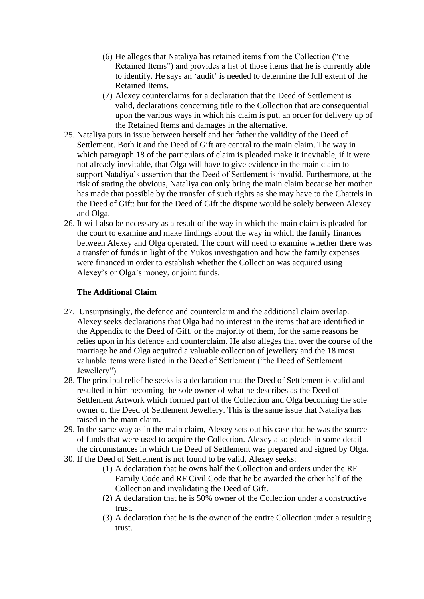- (6) He alleges that Nataliya has retained items from the Collection ("the Retained Items") and provides a list of those items that he is currently able to identify. He says an 'audit' is needed to determine the full extent of the Retained Items.
- (7) Alexey counterclaims for a declaration that the Deed of Settlement is valid, declarations concerning title to the Collection that are consequential upon the various ways in which his claim is put, an order for delivery up of the Retained Items and damages in the alternative.
- 25. Nataliya puts in issue between herself and her father the validity of the Deed of Settlement. Both it and the Deed of Gift are central to the main claim. The way in which paragraph 18 of the particulars of claim is pleaded make it inevitable, if it were not already inevitable, that Olga will have to give evidence in the main claim to support Nataliya's assertion that the Deed of Settlement is invalid. Furthermore, at the risk of stating the obvious, Nataliya can only bring the main claim because her mother has made that possible by the transfer of such rights as she may have to the Chattels in the Deed of Gift: but for the Deed of Gift the dispute would be solely between Alexey and Olga.
- 26. It will also be necessary as a result of the way in which the main claim is pleaded for the court to examine and make findings about the way in which the family finances between Alexey and Olga operated. The court will need to examine whether there was a transfer of funds in light of the Yukos investigation and how the family expenses were financed in order to establish whether the Collection was acquired using Alexey's or Olga's money, or joint funds.

## **The Additional Claim**

- 27. Unsurprisingly, the defence and counterclaim and the additional claim overlap. Alexey seeks declarations that Olga had no interest in the items that are identified in the Appendix to the Deed of Gift, or the majority of them, for the same reasons he relies upon in his defence and counterclaim. He also alleges that over the course of the marriage he and Olga acquired a valuable collection of jewellery and the 18 most valuable items were listed in the Deed of Settlement ("the Deed of Settlement Jewellery").
- 28. The principal relief he seeks is a declaration that the Deed of Settlement is valid and resulted in him becoming the sole owner of what he describes as the Deed of Settlement Artwork which formed part of the Collection and Olga becoming the sole owner of the Deed of Settlement Jewellery. This is the same issue that Nataliya has raised in the main claim.
- 29. In the same way as in the main claim, Alexey sets out his case that he was the source of funds that were used to acquire the Collection. Alexey also pleads in some detail the circumstances in which the Deed of Settlement was prepared and signed by Olga.
- 30. If the Deed of Settlement is not found to be valid, Alexey seeks:
	- (1) A declaration that he owns half the Collection and orders under the RF Family Code and RF Civil Code that he be awarded the other half of the Collection and invalidating the Deed of Gift.
	- (2) A declaration that he is 50% owner of the Collection under a constructive trust.
	- (3) A declaration that he is the owner of the entire Collection under a resulting trust.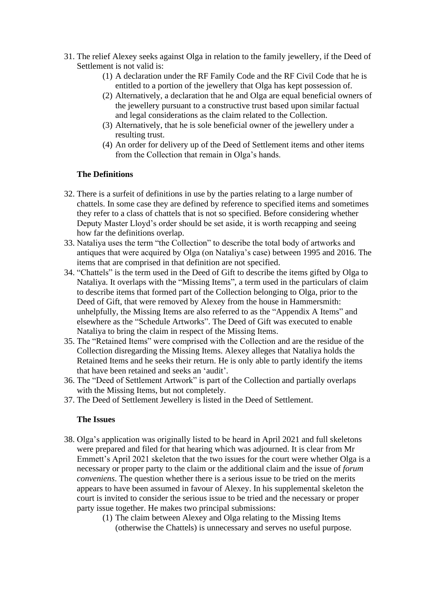- 31. The relief Alexey seeks against Olga in relation to the family jewellery, if the Deed of Settlement is not valid is:
	- (1) A declaration under the RF Family Code and the RF Civil Code that he is entitled to a portion of the jewellery that Olga has kept possession of.
	- (2) Alternatively, a declaration that he and Olga are equal beneficial owners of the jewellery pursuant to a constructive trust based upon similar factual and legal considerations as the claim related to the Collection.
	- (3) Alternatively, that he is sole beneficial owner of the jewellery under a resulting trust.
	- (4) An order for delivery up of the Deed of Settlement items and other items from the Collection that remain in Olga's hands.

## **The Definitions**

- 32. There is a surfeit of definitions in use by the parties relating to a large number of chattels. In some case they are defined by reference to specified items and sometimes they refer to a class of chattels that is not so specified. Before considering whether Deputy Master Lloyd's order should be set aside, it is worth recapping and seeing how far the definitions overlap.
- 33. Nataliya uses the term "the Collection" to describe the total body of artworks and antiques that were acquired by Olga (on Nataliya's case) between 1995 and 2016. The items that are comprised in that definition are not specified.
- 34. "Chattels" is the term used in the Deed of Gift to describe the items gifted by Olga to Nataliya. It overlaps with the "Missing Items", a term used in the particulars of claim to describe items that formed part of the Collection belonging to Olga, prior to the Deed of Gift, that were removed by Alexey from the house in Hammersmith: unhelpfully, the Missing Items are also referred to as the "Appendix A Items" and elsewhere as the "Schedule Artworks". The Deed of Gift was executed to enable Nataliya to bring the claim in respect of the Missing Items.
- 35. The "Retained Items" were comprised with the Collection and are the residue of the Collection disregarding the Missing Items. Alexey alleges that Nataliya holds the Retained Items and he seeks their return. He is only able to partly identify the items that have been retained and seeks an 'audit'.
- 36. The "Deed of Settlement Artwork" is part of the Collection and partially overlaps with the Missing Items, but not completely.
- 37. The Deed of Settlement Jewellery is listed in the Deed of Settlement.

### **The Issues**

- 38. Olga's application was originally listed to be heard in April 2021 and full skeletons were prepared and filed for that hearing which was adjourned. It is clear from Mr Emmett's April 2021 skeleton that the two issues for the court were whether Olga is a necessary or proper party to the claim or the additional claim and the issue of *forum conveniens*. The question whether there is a serious issue to be tried on the merits appears to have been assumed in favour of Alexey. In his supplemental skeleton the court is invited to consider the serious issue to be tried and the necessary or proper party issue together. He makes two principal submissions:
	- (1) The claim between Alexey and Olga relating to the Missing Items (otherwise the Chattels) is unnecessary and serves no useful purpose.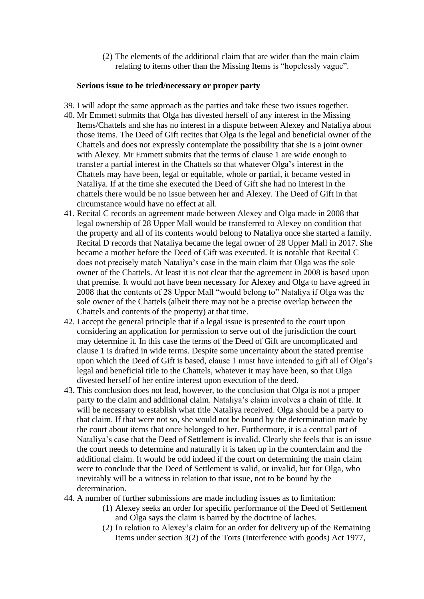(2) The elements of the additional claim that are wider than the main claim relating to items other than the Missing Items is "hopelessly vague".

#### **Serious issue to be tried/necessary or proper party**

- 39. I will adopt the same approach as the parties and take these two issues together.
- 40. Mr Emmett submits that Olga has divested herself of any interest in the Missing Items/Chattels and she has no interest in a dispute between Alexey and Nataliya about those items. The Deed of Gift recites that Olga is the legal and beneficial owner of the Chattels and does not expressly contemplate the possibility that she is a joint owner with Alexey. Mr Emmett submits that the terms of clause 1 are wide enough to transfer a partial interest in the Chattels so that whatever Olga's interest in the Chattels may have been, legal or equitable, whole or partial, it became vested in Nataliya. If at the time she executed the Deed of Gift she had no interest in the chattels there would be no issue between her and Alexey. The Deed of Gift in that circumstance would have no effect at all.
- 41. Recital C records an agreement made between Alexey and Olga made in 2008 that legal ownership of 28 Upper Mall would be transferred to Alexey on condition that the property and all of its contents would belong to Nataliya once she started a family. Recital D records that Nataliya became the legal owner of 28 Upper Mall in 2017. She became a mother before the Deed of Gift was executed. It is notable that Recital C does not precisely match Nataliya's case in the main claim that Olga was the sole owner of the Chattels. At least it is not clear that the agreement in 2008 is based upon that premise. It would not have been necessary for Alexey and Olga to have agreed in 2008 that the contents of 28 Upper Mall "would belong to" Nataliya if Olga was the sole owner of the Chattels (albeit there may not be a precise overlap between the Chattels and contents of the property) at that time.
- 42. I accept the general principle that if a legal issue is presented to the court upon considering an application for permission to serve out of the jurisdiction the court may determine it. In this case the terms of the Deed of Gift are uncomplicated and clause 1 is drafted in wide terms. Despite some uncertainty about the stated premise upon which the Deed of Gift is based, clause 1 must have intended to gift all of Olga's legal and beneficial title to the Chattels, whatever it may have been, so that Olga divested herself of her entire interest upon execution of the deed.
- 43. This conclusion does not lead, however, to the conclusion that Olga is not a proper party to the claim and additional claim. Nataliya's claim involves a chain of title. It will be necessary to establish what title Nataliya received. Olga should be a party to that claim. If that were not so, she would not be bound by the determination made by the court about items that once belonged to her. Furthermore, it is a central part of Nataliya's case that the Deed of Settlement is invalid. Clearly she feels that is an issue the court needs to determine and naturally it is taken up in the counterclaim and the additional claim. It would be odd indeed if the court on determining the main claim were to conclude that the Deed of Settlement is valid, or invalid, but for Olga, who inevitably will be a witness in relation to that issue, not to be bound by the determination.
- 44. A number of further submissions are made including issues as to limitation:
	- (1) Alexey seeks an order for specific performance of the Deed of Settlement and Olga says the claim is barred by the doctrine of laches.
	- (2) In relation to Alexey's claim for an order for delivery up of the Remaining Items under section 3(2) of the Torts (Interference with goods) Act 1977,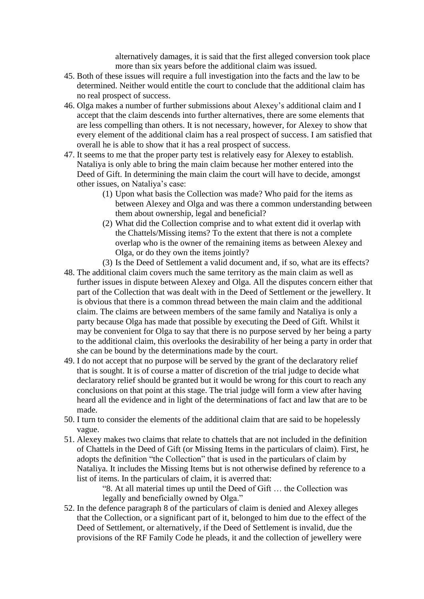alternatively damages, it is said that the first alleged conversion took place more than six years before the additional claim was issued.

- 45. Both of these issues will require a full investigation into the facts and the law to be determined. Neither would entitle the court to conclude that the additional claim has no real prospect of success.
- 46. Olga makes a number of further submissions about Alexey's additional claim and I accept that the claim descends into further alternatives, there are some elements that are less compelling than others. It is not necessary, however, for Alexey to show that every element of the additional claim has a real prospect of success. I am satisfied that overall he is able to show that it has a real prospect of success.
- 47. It seems to me that the proper party test is relatively easy for Alexey to establish. Nataliya is only able to bring the main claim because her mother entered into the Deed of Gift. In determining the main claim the court will have to decide, amongst other issues, on Nataliya's case:
	- (1) Upon what basis the Collection was made? Who paid for the items as between Alexey and Olga and was there a common understanding between them about ownership, legal and beneficial?
	- (2) What did the Collection comprise and to what extent did it overlap with the Chattels/Missing items? To the extent that there is not a complete overlap who is the owner of the remaining items as between Alexey and Olga, or do they own the items jointly?
	- (3) Is the Deed of Settlement a valid document and, if so, what are its effects?
- 48. The additional claim covers much the same territory as the main claim as well as further issues in dispute between Alexey and Olga. All the disputes concern either that part of the Collection that was dealt with in the Deed of Settlement or the jewellery. It is obvious that there is a common thread between the main claim and the additional claim. The claims are between members of the same family and Nataliya is only a party because Olga has made that possible by executing the Deed of Gift. Whilst it may be convenient for Olga to say that there is no purpose served by her being a party to the additional claim, this overlooks the desirability of her being a party in order that she can be bound by the determinations made by the court.
- 49. I do not accept that no purpose will be served by the grant of the declaratory relief that is sought. It is of course a matter of discretion of the trial judge to decide what declaratory relief should be granted but it would be wrong for this court to reach any conclusions on that point at this stage. The trial judge will form a view after having heard all the evidence and in light of the determinations of fact and law that are to be made.
- 50. I turn to consider the elements of the additional claim that are said to be hopelessly vague.
- 51. Alexey makes two claims that relate to chattels that are not included in the definition of Chattels in the Deed of Gift (or Missing Items in the particulars of claim). First, he adopts the definition "the Collection" that is used in the particulars of claim by Nataliya. It includes the Missing Items but is not otherwise defined by reference to a list of items. In the particulars of claim, it is averred that:

"8. At all material times up until the Deed of Gift … the Collection was legally and beneficially owned by Olga."

52. In the defence paragraph 8 of the particulars of claim is denied and Alexey alleges that the Collection, or a significant part of it, belonged to him due to the effect of the Deed of Settlement, or alternatively, if the Deed of Settlement is invalid, due the provisions of the RF Family Code he pleads, it and the collection of jewellery were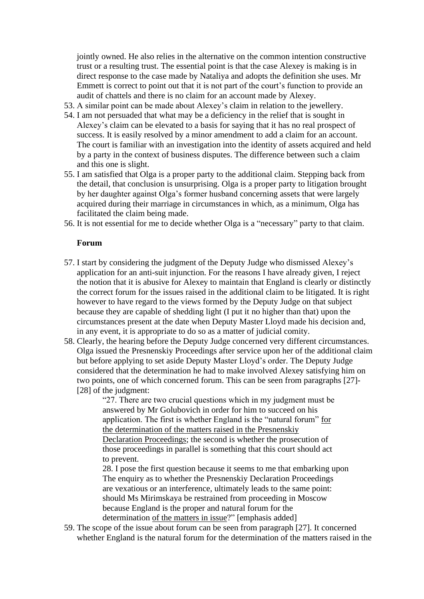jointly owned. He also relies in the alternative on the common intention constructive trust or a resulting trust. The essential point is that the case Alexey is making is in direct response to the case made by Nataliya and adopts the definition she uses. Mr Emmett is correct to point out that it is not part of the court's function to provide an audit of chattels and there is no claim for an account made by Alexey.

- 53. A similar point can be made about Alexey's claim in relation to the jewellery.
- 54. I am not persuaded that what may be a deficiency in the relief that is sought in Alexey's claim can be elevated to a basis for saying that it has no real prospect of success. It is easily resolved by a minor amendment to add a claim for an account. The court is familiar with an investigation into the identity of assets acquired and held by a party in the context of business disputes. The difference between such a claim and this one is slight.
- 55. I am satisfied that Olga is a proper party to the additional claim. Stepping back from the detail, that conclusion is unsurprising. Olga is a proper party to litigation brought by her daughter against Olga's former husband concerning assets that were largely acquired during their marriage in circumstances in which, as a minimum, Olga has facilitated the claim being made.
- 56. It is not essential for me to decide whether Olga is a "necessary" party to that claim.

#### **Forum**

- 57. I start by considering the judgment of the Deputy Judge who dismissed Alexey's application for an anti-suit injunction. For the reasons I have already given, I reject the notion that it is abusive for Alexey to maintain that England is clearly or distinctly the correct forum for the issues raised in the additional claim to be litigated. It is right however to have regard to the views formed by the Deputy Judge on that subject because they are capable of shedding light (I put it no higher than that) upon the circumstances present at the date when Deputy Master Lloyd made his decision and, in any event, it is appropriate to do so as a matter of judicial comity.
- 58. Clearly, the hearing before the Deputy Judge concerned very different circumstances. Olga issued the Presnenskiy Proceedings after service upon her of the additional claim but before applying to set aside Deputy Master Lloyd's order. The Deputy Judge considered that the determination he had to make involved Alexey satisfying him on two points, one of which concerned forum. This can be seen from paragraphs [27]- [28] of the judgment:

"27. There are two crucial questions which in my judgment must be answered by Mr Golubovich in order for him to succeed on his application. The first is whether England is the "natural forum" for the determination of the matters raised in the Presnenskiy Declaration Proceedings; the second is whether the prosecution of those proceedings in parallel is something that this court should act to prevent.

28. I pose the first question because it seems to me that embarking upon The enquiry as to whether the Presnenskiy Declaration Proceedings are vexatious or an interference, ultimately leads to the same point: should Ms Mirimskaya be restrained from proceeding in Moscow because England is the proper and natural forum for the determination of the matters in issue?" [emphasis added]

59. The scope of the issue about forum can be seen from paragraph [27]. It concerned whether England is the natural forum for the determination of the matters raised in the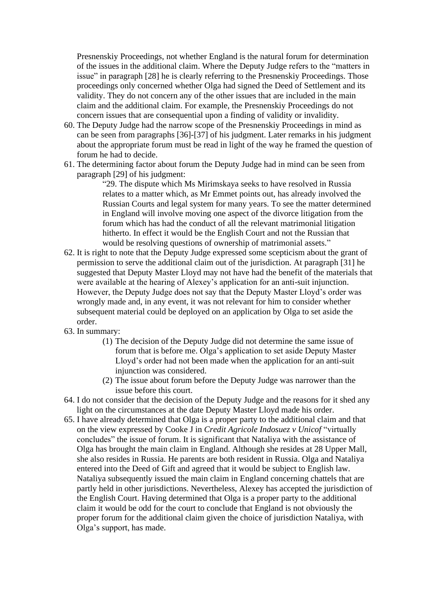Presnenskiy Proceedings, not whether England is the natural forum for determination of the issues in the additional claim. Where the Deputy Judge refers to the "matters in issue" in paragraph [28] he is clearly referring to the Presnenskiy Proceedings. Those proceedings only concerned whether Olga had signed the Deed of Settlement and its validity. They do not concern any of the other issues that are included in the main claim and the additional claim. For example, the Presnenskiy Proceedings do not concern issues that are consequential upon a finding of validity or invalidity.

- 60. The Deputy Judge had the narrow scope of the Presnenskiy Proceedings in mind as can be seen from paragraphs [36]-[37] of his judgment. Later remarks in his judgment about the appropriate forum must be read in light of the way he framed the question of forum he had to decide.
- 61. The determining factor about forum the Deputy Judge had in mind can be seen from paragraph [29] of his judgment:

"29. The dispute which Ms Mirimskaya seeks to have resolved in Russia relates to a matter which, as Mr Emmet points out, has already involved the Russian Courts and legal system for many years. To see the matter determined in England will involve moving one aspect of the divorce litigation from the forum which has had the conduct of all the relevant matrimonial litigation hitherto. In effect it would be the English Court and not the Russian that would be resolving questions of ownership of matrimonial assets."

- 62. It is right to note that the Deputy Judge expressed some scepticism about the grant of permission to serve the additional claim out of the jurisdiction. At paragraph [31] he suggested that Deputy Master Lloyd may not have had the benefit of the materials that were available at the hearing of Alexey's application for an anti-suit injunction. However, the Deputy Judge does not say that the Deputy Master Lloyd's order was wrongly made and, in any event, it was not relevant for him to consider whether subsequent material could be deployed on an application by Olga to set aside the order.
- 63. In summary:
	- (1) The decision of the Deputy Judge did not determine the same issue of forum that is before me. Olga's application to set aside Deputy Master Lloyd's order had not been made when the application for an anti-suit injunction was considered.
	- (2) The issue about forum before the Deputy Judge was narrower than the issue before this court.
- 64. I do not consider that the decision of the Deputy Judge and the reasons for it shed any light on the circumstances at the date Deputy Master Lloyd made his order.
- 65. I have already determined that Olga is a proper party to the additional claim and that on the view expressed by Cooke J in *Credit Agricole Indosuez v Unicof* "virtually concludes" the issue of forum. It is significant that Nataliya with the assistance of Olga has brought the main claim in England. Although she resides at 28 Upper Mall, she also resides in Russia. He parents are both resident in Russia. Olga and Nataliya entered into the Deed of Gift and agreed that it would be subject to English law. Nataliya subsequently issued the main claim in England concerning chattels that are partly held in other jurisdictions. Nevertheless, Alexey has accepted the jurisdiction of the English Court. Having determined that Olga is a proper party to the additional claim it would be odd for the court to conclude that England is not obviously the proper forum for the additional claim given the choice of jurisdiction Nataliya, with Olga's support, has made.